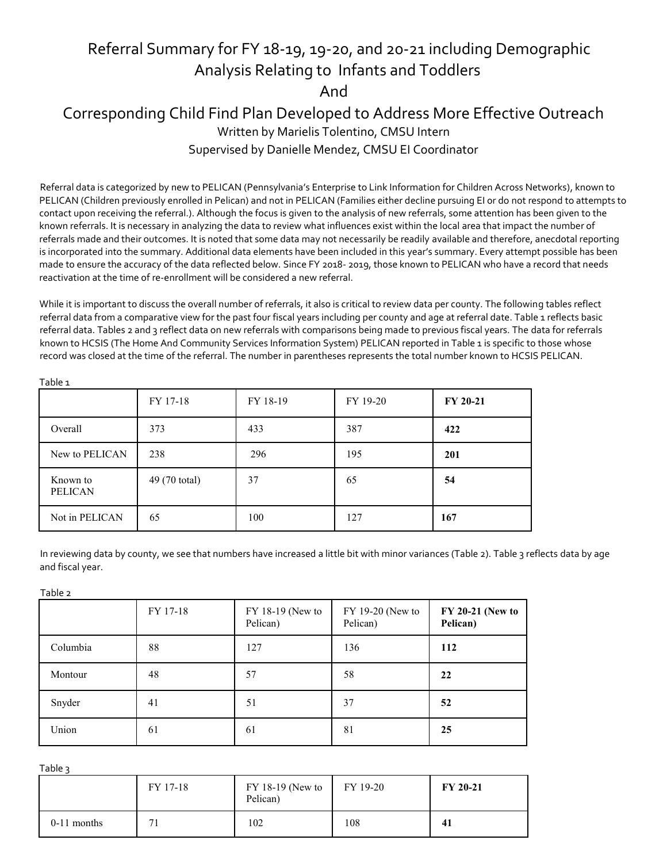## Referral Summary for FY 18-19, 19-20, and 20-21 including Demographic Analysis Relating to Infants and Toddlers And Corresponding Child Find Plan Developed to Address More Effective Outreach Written by Marielis Tolentino, CMSU Intern Supervised by Danielle Mendez, CMSU EI Coordinator

Referral data is categorized by new to PELICAN (Pennsylvania's Enterprise to Link Information for Children Across Networks), known to PELICAN (Children previously enrolled in Pelican) and not in PELICAN (Families either decline pursuing EI or do not respond to attempts to contact upon receiving the referral.). Although the focus is given to the analysis of new referrals, some attention has been given to the known referrals. It is necessary in analyzing the data to review what influences exist within the local area that impact the number of referrals made and their outcomes. It is noted that some data may not necessarily be readily available and therefore, anecdotal reporting is incorporated into the summary. Additional data elements have been included in this year's summary. Every attempt possible has been made to ensure the accuracy of the data reflected below. Since FY 2018- 2019, those known to PELICAN who have a record that needs reactivation at the time of re-enrollment will be considered a new referral.

While it is important to discuss the overall number of referrals, it also is critical to review data per county. The following tables reflect referral data from a comparative view for the past four fiscal years including per county and age at referral date. Table 1 reflects basic referral data. Tables 2 and 3 reflect data on new referrals with comparisons being made to previous fiscal years. The data for referrals known to HCSIS (The Home And Community Services Information System) PELICAN reported in Table 1 is specific to those whose record was closed at the time of the referral. The number in parentheses represents the total number known to HCSIS PELICAN.

| ranic T                    |               |          |          |          |
|----------------------------|---------------|----------|----------|----------|
|                            | FY 17-18      | FY 18-19 | FY 19-20 | FY 20-21 |
| Overall                    | 373           | 433      | 387      | 422      |
| New to PELICAN             | 238           | 296      | 195      | 201      |
| Known to<br><b>PELICAN</b> | 49 (70 total) | 37       | 65       | 54       |
| Not in PELICAN             | 65            | 100      | 127      | 167      |

In reviewing data by county, we see that numbers have increased a little bit with minor variances (Table 2). Table 3 reflects data by age and fiscal year.

Table 2

Table 1

|          | FY 17-18 | FY 18-19 (New to<br>Pelican) | FY 19-20 (New to<br>Pelican) | FY 20-21 (New to<br>Pelican) |
|----------|----------|------------------------------|------------------------------|------------------------------|
| Columbia | 88       | 127                          | 136                          | 112                          |
| Montour  | 48       | 57                           | 58                           | 22                           |
| Snyder   | 41       | 51                           | 37                           | 52                           |
| Union    | 61       | 61                           | 81                           | 25                           |

Table 3

|               | FY 17-18 | $FY$ 18-19 (New to<br>Pelican) | FY 19-20 | <b>FY 20-21</b> |
|---------------|----------|--------------------------------|----------|-----------------|
| $0-11$ months | $\sim$   | 102                            | 108      | 41              |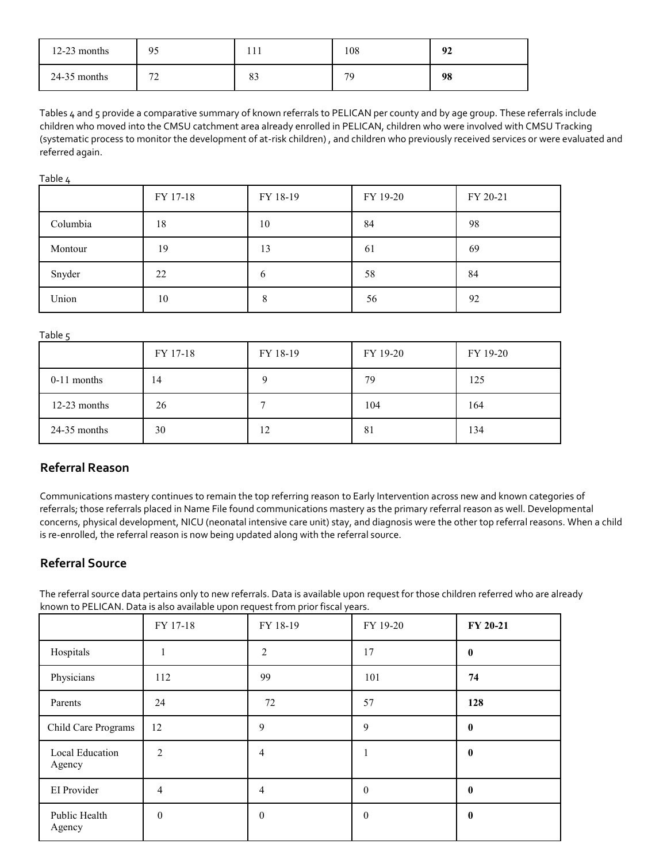| $12-23$ months | 95          |                  | 108 | Oʻ |
|----------------|-------------|------------------|-----|----|
| $24-35$ months | $\sim$<br>∼ | $\Omega'$<br>OJ. | 79  | 98 |

Tables 4 and 5 provide a comparative summary of known referrals to PELICAN per county and by age group. These referrals include children who moved into the CMSU catchment area already enrolled in PELICAN, children who were involved with CMSU Tracking (systematic process to monitor the development of at-risk children) , and children who previously received services or were evaluated and referred again.

Table 4

|          | FY 17-18 | FY 18-19 | FY 19-20 | FY 20-21 |
|----------|----------|----------|----------|----------|
| Columbia | 18       | 10       | 84       | 98       |
| Montour  | 19       | 13       | 61       | 69       |
| Snyder   | 22       | 6        | 58       | 84       |
| Union    | 10       | ð        | 56       | 92       |

Table<sub>5</sub>

| ر - - - -      | FY 17-18 | FY 18-19 | FY 19-20 | FY 19-20 |
|----------------|----------|----------|----------|----------|
| $0-11$ months  | 14       | $\Omega$ | 79       | 125      |
| $12-23$ months | 26       |          | 104      | 164      |
| $24-35$ months | 30       | 12       | 81       | 134      |

## **Referral Reason**

Communications mastery continues to remain the top referring reason to Early Intervention across new and known categories of referrals; those referrals placed in Name File found communications mastery as the primary referral reason as well. Developmental concerns, physical development, NICU (neonatal intensive care unit) stay, and diagnosis were the other top referral reasons. When a child is re-enrolled, the referral reason is now being updated along with the referral source.

## **Referral Source**

The referral source data pertains only to new referrals. Data is available upon request for those children referred who are already known to PELICAN. Data is also available upon request from prior fiscal years.

|                           | FY 17-18       | FY 18-19         | FY 19-20         | FY 20-21         |
|---------------------------|----------------|------------------|------------------|------------------|
| Hospitals                 |                | $\overline{2}$   | 17               | $\bf{0}$         |
| Physicians                | 112            | 99               | 101              | 74               |
| Parents                   | 24             | 72               | 57               | 128              |
| Child Care Programs       | 12             | 9                | 9                | $\bf{0}$         |
| Local Education<br>Agency | $\overline{2}$ | 4                |                  | $\bf{0}$         |
| EI Provider               | 4              | 4                | $\boldsymbol{0}$ | $\bf{0}$         |
| Public Health<br>Agency   | $\mathbf{0}$   | $\boldsymbol{0}$ | $\boldsymbol{0}$ | $\boldsymbol{0}$ |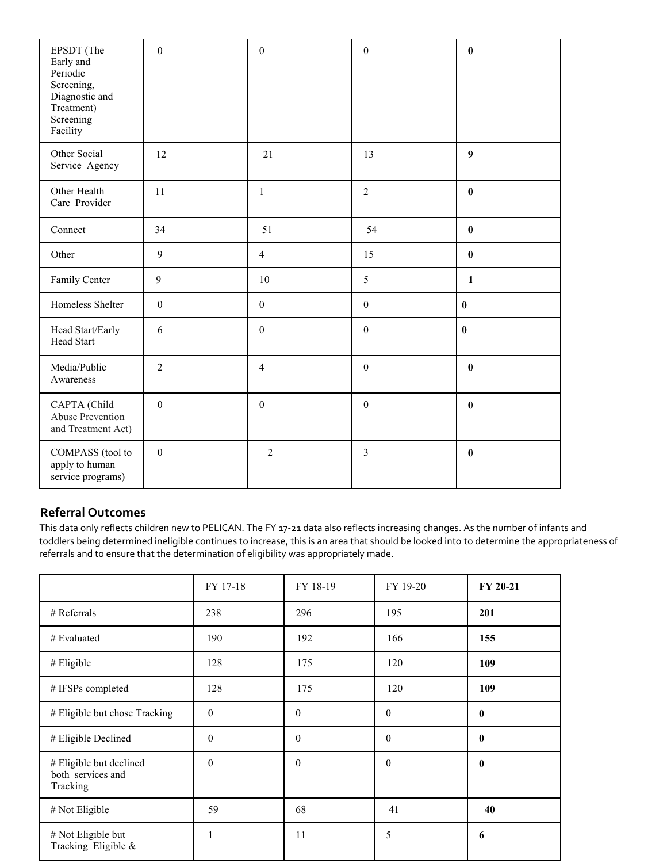| EPSDT (The<br>Early and<br>Periodic<br>Screening,<br>Diagnostic and<br>Treatment)<br>Screening<br>Facility | $\boldsymbol{0}$ | $\boldsymbol{0}$ | $\boldsymbol{0}$ | $\bf{0}$         |
|------------------------------------------------------------------------------------------------------------|------------------|------------------|------------------|------------------|
| Other Social<br>Service Agency                                                                             | 12               | 21               | 13               | $\boldsymbol{9}$ |
| Other Health<br>Care Provider                                                                              | 11               | $\mathbf{1}$     | $\overline{2}$   | $\bf{0}$         |
| Connect                                                                                                    | 34               | 51               | 54               | $\bf{0}$         |
| Other                                                                                                      | 9                | $\overline{4}$   | 15               | $\pmb{0}$        |
| Family Center                                                                                              | 9                | 10               | 5                | $\mathbf{1}$     |
| Homeless Shelter                                                                                           | $\boldsymbol{0}$ | $\boldsymbol{0}$ | $\boldsymbol{0}$ | $\pmb{0}$        |
| Head Start/Early<br><b>Head Start</b>                                                                      | 6                | $\boldsymbol{0}$ | $\mathbf{0}$     | $\bf{0}$         |
| Media/Public<br>Awareness                                                                                  | $\overline{2}$   | $\overline{4}$   | $\boldsymbol{0}$ | $\bf{0}$         |
| CAPTA (Child<br>Abuse Prevention<br>and Treatment Act)                                                     | $\boldsymbol{0}$ | $\boldsymbol{0}$ | $\boldsymbol{0}$ | $\bf{0}$         |
| COMPASS (tool to<br>apply to human<br>service programs)                                                    | $\boldsymbol{0}$ | $\overline{2}$   | 3                | $\pmb{0}$        |

## **Referral Outcomes**

This data only reflects children new to PELICAN. The FY 17-21 data also reflects increasing changes. As the number of infants and toddlers being determined ineligible continues to increase, this is an area that should be looked into to determine the appropriateness of referrals and to ensure that the determination of eligibility was appropriately made.

|                                                          | FY 17-18         | FY 18-19 | FY 19-20     | FY 20-21 |
|----------------------------------------------------------|------------------|----------|--------------|----------|
| $#$ Referrals                                            | 238              | 296      | 195          | 201      |
| # Evaluated                                              | 190              | 192      | 166          | 155      |
| $#$ Eligible                                             | 128              | 175      | 120          | 109      |
| # IFSPs completed                                        | 128              | 175      | 120          | 109      |
| # Eligible but chose Tracking                            | $\boldsymbol{0}$ | $\theta$ | $\mathbf{0}$ | 0        |
| # Eligible Declined                                      | $\mathbf{0}$     | $\theta$ | $\theta$     | $\bf{0}$ |
| # Eligible but declined<br>both services and<br>Tracking | $\mathbf{0}$     | $\theta$ | $\mathbf{0}$ | $\bf{0}$ |
| # Not Eligible                                           | 59               | 68       | 41           | 40       |
| # Not Eligible but<br>Tracking Eligible &                | 1                | 11       | 5            | 6        |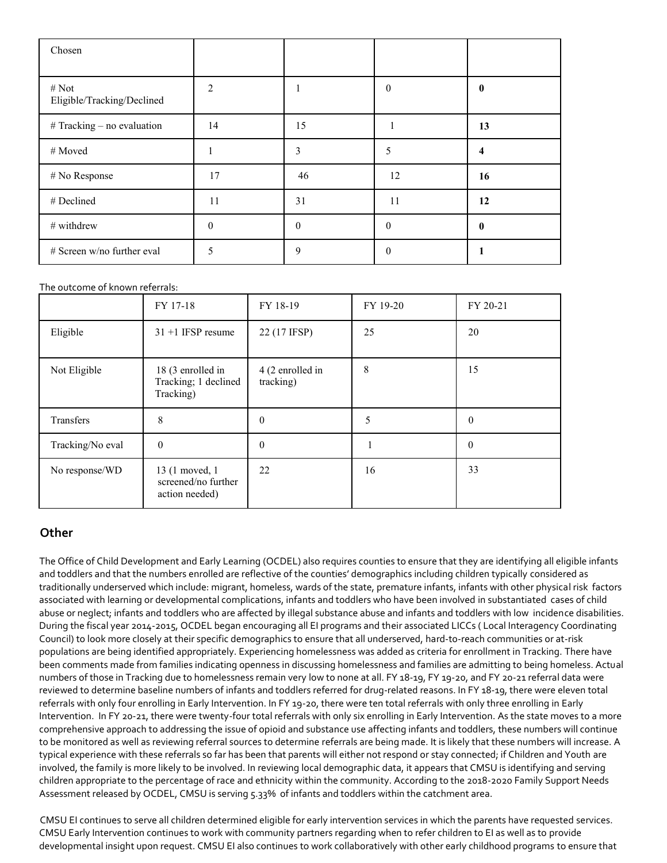| Chosen                              |                |          |              |    |
|-------------------------------------|----------------|----------|--------------|----|
| # Not<br>Eligible/Tracking/Declined | $\overline{2}$ |          | $\mathbf{0}$ | 0  |
| $#$ Tracking – no evaluation        | 14             | 15       |              | 13 |
| # Moved                             |                | 3        | 5            | 4  |
| # No Response                       | 17             | 46       | 12           | 16 |
| # Declined                          | 11             | 31       | 11           | 12 |
| # withdrew                          | $\theta$       | $\theta$ | $\Omega$     | 0  |
| # Screen w/no further eval          | 5              | 9        | $\theta$     |    |

#### The outcome of known referrals:

|                  | FY 17-18                                                 | FY 18-19                      | FY 19-20 | FY 20-21 |
|------------------|----------------------------------------------------------|-------------------------------|----------|----------|
| Eligible         | $31 + 1$ IFSP resume                                     | 22 (17 IFSP)                  | 25       | 20       |
| Not Eligible     | 18 (3 enrolled in<br>Tracking; 1 declined<br>Tracking)   | 4 (2 enrolled in<br>tracking) | 8        | 15       |
| Transfers        | 8                                                        | $\theta$                      | 5        | $\theta$ |
| Tracking/No eval | $\theta$                                                 | 0                             |          | $\theta$ |
| No response/WD   | 13 (1 moved, 1)<br>screened/no further<br>action needed) | 22                            | 16       | 33       |

#### **Other**

The Office of Child Development and Early Learning (OCDEL) also requires counties to ensure that they are identifying all eligible infants and toddlers and that the numbers enrolled are reflective of the counties' demographics including children typically considered as traditionally underserved which include: migrant, homeless, wards of the state, premature infants, infants with other physical risk factors associated with learning or developmental complications, infants and toddlers who have been involved in substantiated cases of child abuse or neglect; infants and toddlers who are affected by illegal substance abuse and infants and toddlers with low incidence disabilities. During the fiscal year 2014-2015, OCDEL began encouraging all EI programs and their associated LICCs ( Local Interagency Coordinating Council) to look more closely at their specific demographics to ensure that all underserved, hard-to-reach communities or at-risk populations are being identified appropriately. Experiencing homelessness was added as criteria for enrollment in Tracking. There have been comments made from families indicating openness in discussing homelessness and families are admitting to being homeless. Actual numbers of those in Tracking due to homelessness remain very low to none at all. FY 18-19, FY 19-20, and FY 20-21 referral data were reviewed to determine baseline numbers of infants and toddlers referred for drug-related reasons. In FY 18-19, there were eleven total referrals with only four enrolling in Early Intervention. In FY 19-20, there were ten total referrals with only three enrolling in Early Intervention. In FY 20-21, there were twenty-four total referrals with only six enrolling in Early Intervention. As the state moves to a more comprehensive approach to addressing the issue of opioid and substance use affecting infants and toddlers, these numbers will continue to be monitored as well as reviewing referral sources to determine referrals are being made. It is likely that these numbers will increase. A typical experience with these referrals so far has been that parents will either not respond or stay connected; if Children and Youth are involved, the family is more likely to be involved. In reviewing local demographic data, it appears that CMSU is identifying and serving children appropriate to the percentage of race and ethnicity within the community. According to the 2018-2020 Family Support Needs Assessment released by OCDEL, CMSU is serving 5.33% of infants and toddlers within the catchment area.

CMSU EI continues to serve all children determined eligible for early intervention services in which the parents have requested services. CMSU Early Intervention continues to work with community partners regarding when to refer children to EI as well as to provide developmental insight upon request. CMSU EI also continues to work collaboratively with other early childhood programs to ensure that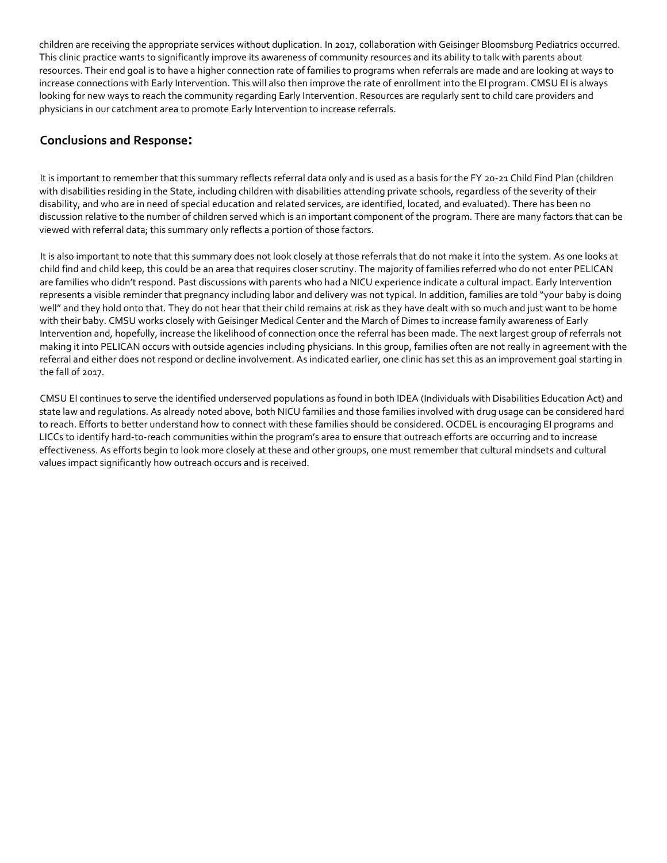children are receiving the appropriate services without duplication. In 2017, collaboration with Geisinger Bloomsburg Pediatrics occurred. This clinic practice wants to significantly improve its awareness of community resources and its ability to talk with parents about resources. Their end goal is to have a higher connection rate of families to programs when referrals are made and are looking at ways to increase connections with Early Intervention. This will also then improve the rate of enrollment into the EI program. CMSU EI is always looking for new ways to reach the community regarding Early Intervention. Resources are regularly sent to child care providers and physicians in our catchment area to promote Early Intervention to increase referrals.

## **Conclusions and Response:**

It is important to remember that this summary reflects referral data only and is used as a basis for the FY 20-21 Child Find Plan (children with disabilities residing in the State, including children with disabilities attending private schools, regardless of the severity of their disability, and who are in need of special education and related services, are identified, located, and evaluated). There has been no discussion relative to the number of children served which is an important component of the program. There are many factors that can be viewed with referral data; this summary only reflects a portion of those factors.

It is also important to note that this summary does not look closely at those referrals that do not make it into the system. As one looks at child find and child keep, this could be an area that requires closer scrutiny. The majority of families referred who do not enter PELICAN are families who didn't respond. Past discussions with parents who had a NICU experience indicate a cultural impact. Early Intervention represents a visible reminder that pregnancy including labor and delivery was not typical. In addition, families are told "your baby is doing well" and they hold onto that. They do not hear that their child remains at risk as they have dealt with so much and just want to be home with their baby. CMSU works closely with Geisinger Medical Center and the March of Dimes to increase family awareness of Early Intervention and, hopefully, increase the likelihood of connection once the referral has been made. The next largest group of referrals not making it into PELICAN occurs with outside agencies including physicians. In this group, families often are not really in agreement with the referral and either does not respond or decline involvement. As indicated earlier, one clinic has set this as an improvement goal starting in the fall of 2017.

CMSU EI continues to serve the identified underserved populations as found in both IDEA (Individuals with Disabilities Education Act) and state law and regulations. As already noted above, both NICU families and those families involved with drug usage can be considered hard to reach. Efforts to better understand how to connect with these families should be considered. OCDEL is encouraging EI programs and LICCs to identify hard-to-reach communities within the program's area to ensure that outreach efforts are occurring and to increase effectiveness. As efforts begin to look more closely at these and other groups, one must remember that cultural mindsets and cultural values impact significantly how outreach occurs and is received.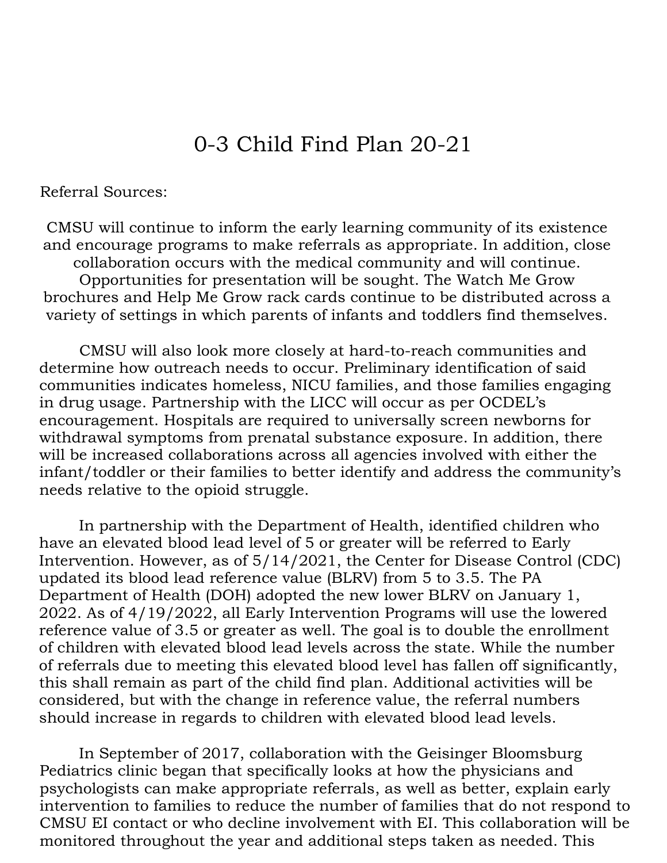# 0-3 Child Find Plan 20-21

Referral Sources:

CMSU will continue to inform the early learning community of its existence and encourage programs to make referrals as appropriate. In addition, close collaboration occurs with the medical community and will continue. Opportunities for presentation will be sought. The Watch Me Grow brochures and Help Me Grow rack cards continue to be distributed across a variety of settings in which parents of infants and toddlers find themselves.

CMSU will also look more closely at hard-to-reach communities and determine how outreach needs to occur. Preliminary identification of said communities indicates homeless, NICU families, and those families engaging in drug usage. Partnership with the LICC will occur as per OCDEL's encouragement. Hospitals are required to universally screen newborns for withdrawal symptoms from prenatal substance exposure. In addition, there will be increased collaborations across all agencies involved with either the infant/toddler or their families to better identify and address the community's needs relative to the opioid struggle.

In partnership with the Department of Health, identified children who have an elevated blood lead level of 5 or greater will be referred to Early Intervention. However, as of 5/14/2021, the Center for Disease Control (CDC) updated its blood lead reference value (BLRV) from 5 to 3.5. The PA Department of Health (DOH) adopted the new lower BLRV on January 1, 2022. As of 4/19/2022, all Early Intervention Programs will use the lowered reference value of 3.5 or greater as well. The goal is to double the enrollment of children with elevated blood lead levels across the state. While the number of referrals due to meeting this elevated blood level has fallen off significantly, this shall remain as part of the child find plan. Additional activities will be considered, but with the change in reference value, the referral numbers should increase in regards to children with elevated blood lead levels.

In September of 2017, collaboration with the Geisinger Bloomsburg Pediatrics clinic began that specifically looks at how the physicians and psychologists can make appropriate referrals, as well as better, explain early intervention to families to reduce the number of families that do not respond to CMSU EI contact or who decline involvement with EI. This collaboration will be monitored throughout the year and additional steps taken as needed. This